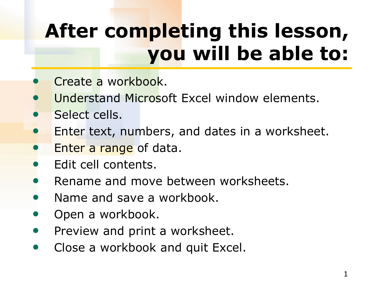# **After completing this lesson, you will be able to:**

- Create a workbook.
- Understand Microsoft Excel window elements.
- Select cells.
- Enter text, numbers, and dates in a worksheet.
- Enter a range of data.
- Edit cell contents.
- Rename and move between worksheets.
- Name and save a workbook.
- Open a workbook.
- Preview and print a worksheet.
- Close a workbook and quit Excel.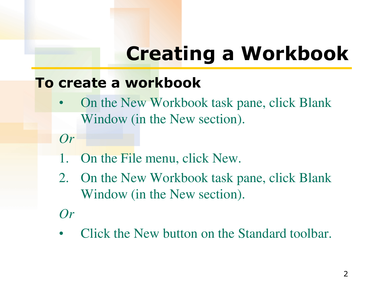# **Creating a Workbook**

#### **To create a workbook**

- On the New Workbook task pane, click Blank Window (in the New section).
- *Or*
- 1. On the File menu, click New.
- 2. On the New Workbook task pane, click Blank Window (in the New section).
- *Or*
- Click the New button on the Standard toolbar.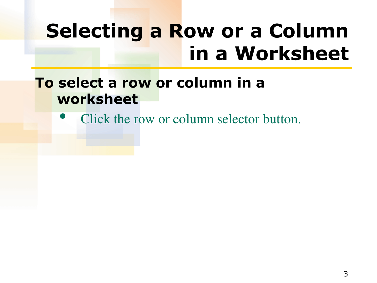## **Selecting a Row or a Column in a Worksheet**

#### **To select a row or column in a worksheet**

Click the row or column selector button.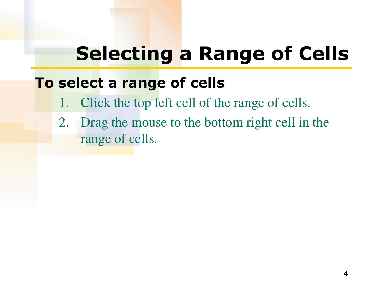### **Selecting a Range of Cells**

#### **To select a range of cells**

- 1. Click the top left cell of the range of cells.
- 2. Drag the mouse to the bottom right cell in the range of cells.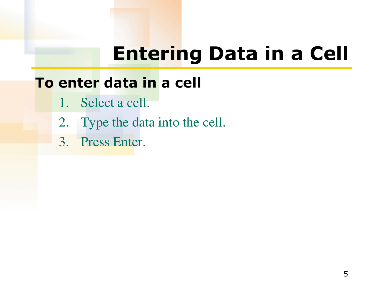## **Entering Data in a Cell**

### **To enter data in a cell**

- 1. Select a cell.
- 2. Type the data into the cell.
- 3. Press Enter.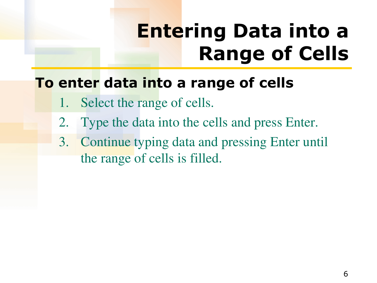## **Entering Data into a Range of Cells**

### **To enter data into a range of cells**

- 1. Select the range of cells.
- 2. Type the data into the cells and press Enter.
- 3. Continue typing data and pressing Enter until the range of cells is filled.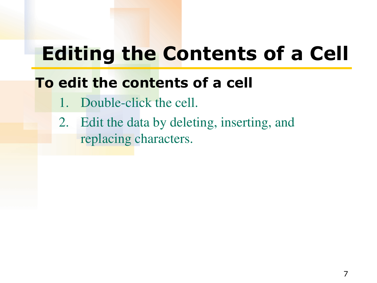## **Editing the Contents of a Cell**

#### **To edit the contents of a cell**

- 1. Double-click the cell.
- 2. Edit the data by deleting, inserting, and replacing characters.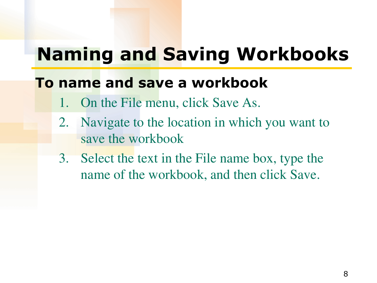### **Naming and Saving Workbooks**

#### **To name and save a workbook**

- 1. On the File menu, click Save As.
- 2. Navigate to the location in which you want to save the workbook
- 3. Select the text in the File name box, type the name of the workbook, and then click Save.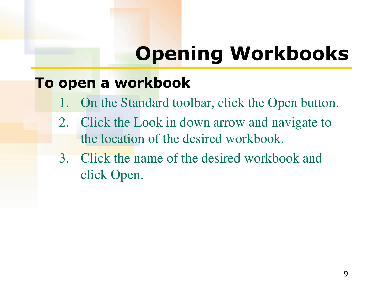# **Opening Workbooks**

#### **To open a workbook**

- On the Standard toolbar, click the Open button.
- 2. Click the Look in down arrow and navigate to the location of the desired workbook.
- 3. Click the name of the desired workbook and click Open.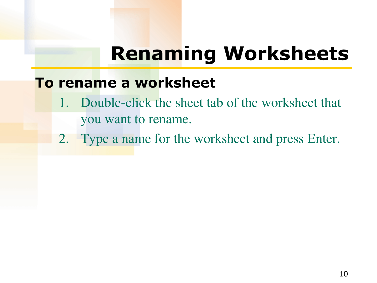## **Renaming Worksheets**

#### **To rename a worksheet**

- 1. Double-click the sheet tab of the worksheet that you want to rename.
- 2. Type a name for the worksheet and press Enter.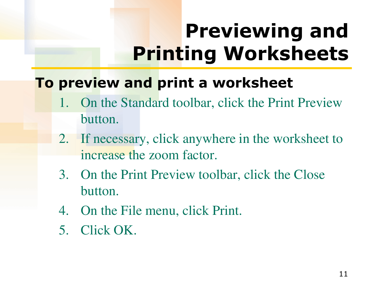# **Previewing and Printing Worksheets**

### **To preview and print a worksheet**

- 1. On the Standard toolbar, click the Print Preview button.
- 2. If necessary, click anywhere in the worksheet to increase the zoom factor.
- 3. On the Print Preview toolbar, click the Close button.
- 4. On the File menu, click Print.
- 5. Click OK.